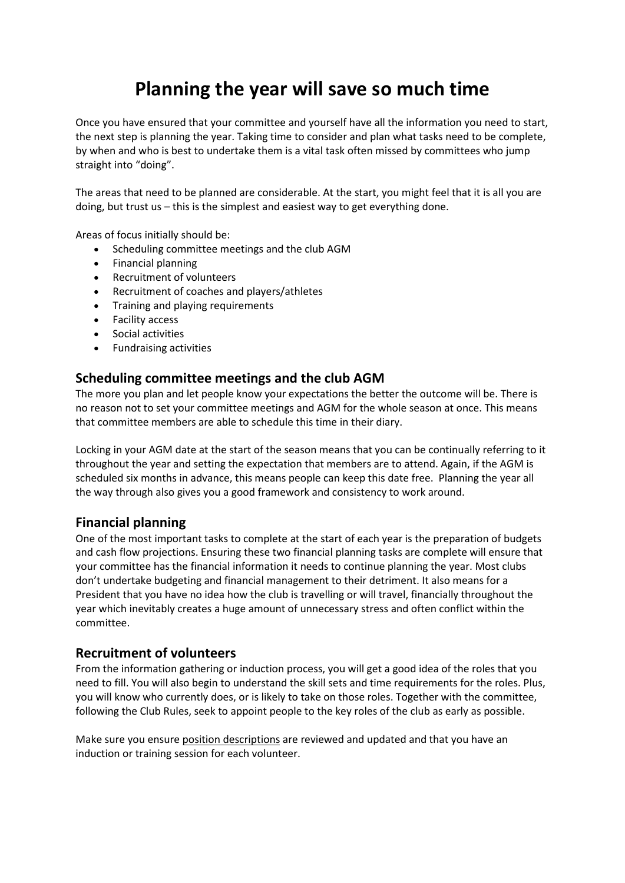# **Planning the year will save so much time**

Once you have ensured that your committee and yourself have all the information you need to start, the next step is planning the year. Taking time to consider and plan what tasks need to be complete, by when and who is best to undertake them is a vital task often missed by committees who jump straight into "doing".

The areas that need to be planned are considerable. At the start, you might feel that it is all you are doing, but trust us – this is the simplest and easiest way to get everything done.

Areas of focus initially should be:

- Scheduling committee meetings and the club AGM
- Financial planning
- Recruitment of volunteers
- Recruitment of coaches and players/athletes
- Training and playing requirements
- Facility access
- Social activities
- Fundraising activities

### **Scheduling committee meetings and the club AGM**

The more you plan and let people know your expectations the better the outcome will be. There is no reason not to set your committee meetings and AGM for the whole season at once. This means that committee members are able to schedule this time in their diary.

Locking in your AGM date at the start of the season means that you can be continually referring to it throughout the year and setting the expectation that members are to attend. Again, if the AGM is scheduled six months in advance, this means people can keep this date free. Planning the year all the way through also gives you a good framework and consistency to work around.

### **Financial planning**

One of the most important tasks to complete at the start of each year is the preparation of budgets and cash flow projections. Ensuring these two financial planning tasks are complete will ensure that your committee has the financial information it needs to continue planning the year. Most clubs don't undertake budgeting and financial management to their detriment. It also means for a President that you have no idea how the club is travelling or will travel, financially throughout the year which inevitably creates a huge amount of unnecessary stress and often conflict within the committee.

### **Recruitment of volunteers**

From the information gathering or induction process, you will get a good idea of the roles that you need to fill. You will also begin to understand the skill sets and time requirements for the roles. Plus, you will know who currently does, or is likely to take on those roles. Together with the committee, following the Club Rules, seek to appoint people to the key roles of the club as early as possible.

Make sure you ensure position [descriptions](http://sportscommunity.com.au/position-descriptions/) are reviewed and updated and that you have an induction or training session for each volunteer.